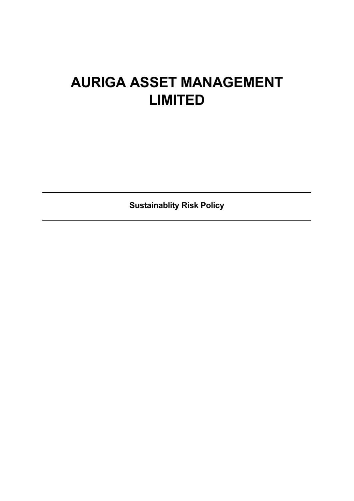# **AURIGA ASSET MANAGEMENT LIMITED**

**Sustainablity Risk Policy**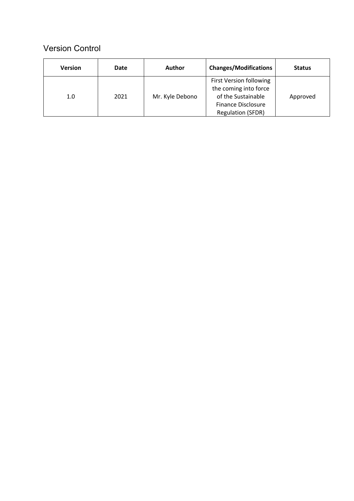## Version Control

| <b>Version</b> | Date | Author          | <b>Changes/Modifications</b>                                                                                                    | <b>Status</b> |
|----------------|------|-----------------|---------------------------------------------------------------------------------------------------------------------------------|---------------|
| 1.0            | 2021 | Mr. Kyle Debono | First Version following<br>the coming into force<br>of the Sustainable<br><b>Finance Disclosure</b><br><b>Regulation (SFDR)</b> | Approved      |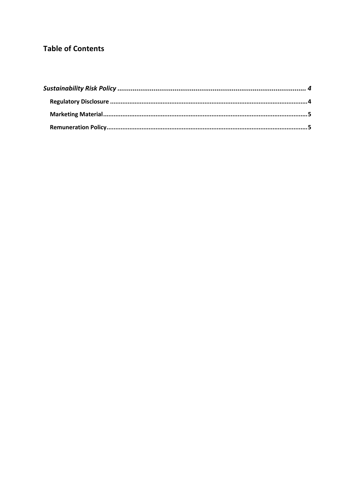## **Table of Contents**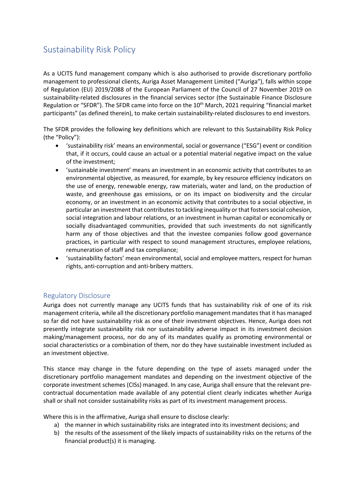# Sustainability Risk Policy

As a UCITS fund management company which is also authorised to provide discretionary portfolio management to professional clients, Auriga Asset Management Limited ("Auriga"), falls within scope of Regulation (EU) 2019/2088 of the European Parliament of the Council of 27 November 2019 on sustainability-related disclosures in the financial services sector (the Sustainable Finance Disclosure Regulation or "SFDR"). The SFDR came into force on the 10<sup>th</sup> March, 2021 requiring "financial market participants" (as defined therein), to make certain sustainability-related disclosures to end investors.

The SFDR provides the following key definitions which are relevant to this Sustainability Risk Policy (the "Policy"):

- 'sustainability risk' means an environmental, social or governance ("ESG") event or condition that, if it occurs, could cause an actual or a potential material negative impact on the value of the investment;
- 'sustainable investment' means an investment in an economic activity that contributes to an environmental objective, as measured, for example, by key resource efficiency indicators on the use of energy, renewable energy, raw materials, water and land, on the production of waste, and greenhouse gas emissions, or on its impact on biodiversity and the circular economy, or an investment in an economic activity that contributes to a social objective, in particular an investment that contributes to tackling inequality or that fosters social cohesion, social integration and labour relations, or an investment in human capital or economically or socially disadvantaged communities, provided that such investments do not significantly harm any of those objectives and that the investee companies follow good governance practices, in particular with respect to sound management structures, employee relations, remuneration of staff and tax compliance;
- 'sustainability factors' mean environmental, social and employee matters, respect for human rights, anti-corruption and anti-bribery matters.

## Regulatory Disclosure

Auriga does not currently manage any UCITS funds that has sustainability risk of one of its risk management criteria, while all the discretionary portfolio management mandates that it has managed so far did not have sustainability risk as one of their investment objectives. Hence, Auriga does not presently integrate sustainability risk nor sustainability adverse impact in its investment decision making/management process, nor do any of its mandates qualify as promoting environmental or social characteristics or a combination of them, nor do they have sustainable investment included as an investment objective.

This stance may change in the future depending on the type of assets managed under the discretionary portfolio management mandates and depending on the investment objective of the corporate investment schemes (CISs) managed. In any case, Auriga shall ensure that the relevant precontractual documentation made available of any potential client clearly indicates whether Auriga shall or shall not consider sustainability risks as part of its investment management process.

Where this is in the affirmative, Auriga shall ensure to disclose clearly:

- a) the manner in which sustainability risks are integrated into its investment decisions; and
- b) the results of the assessment of the likely impacts of sustainability risks on the returns of the financial product(s) it is managing.